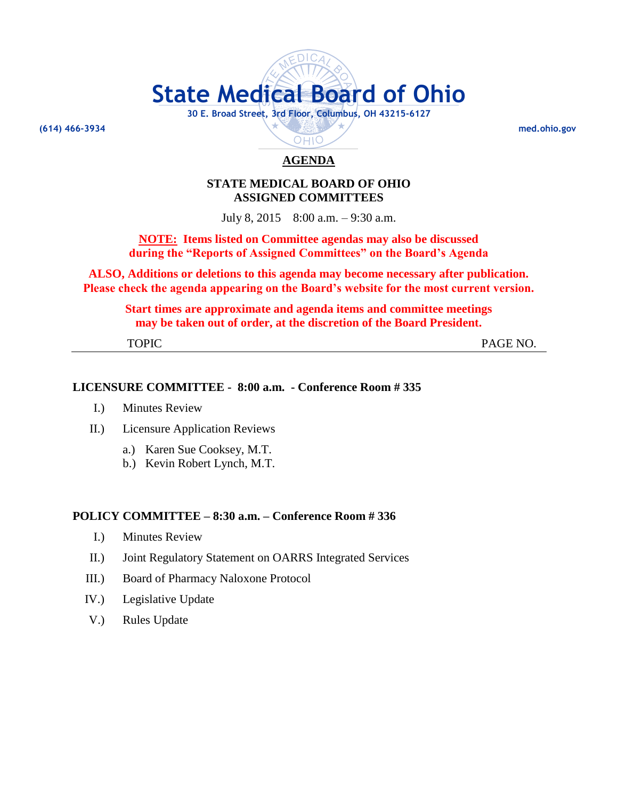# **State Medical Board of Ohio**

**30 E. Broad Street, 3rd Floor, Columbus, OH 43215-6127**

**(614) 466-3934 med.ohio.gov**

# **AGENDA**

OHIO

# **STATE MEDICAL BOARD OF OHIO ASSIGNED COMMITTEES**

July 8, 2015 8:00 a.m. – 9:30 a.m.

**NOTE: Items listed on Committee agendas may also be discussed during the "Reports of Assigned Committees" on the Board's Agenda**

**ALSO, Additions or deletions to this agenda may become necessary after publication. Please check the agenda appearing on the Board's website for the most current version.**

**Start times are approximate and agenda items and committee meetings may be taken out of order, at the discretion of the Board President.**

TOPIC PAGE NO.

#### **LICENSURE COMMITTEE - 8:00 a.m. - Conference Room # 335**

- I.) Minutes Review
- II.) Licensure Application Reviews
	- a.) Karen Sue Cooksey, M.T.
	- b.) Kevin Robert Lynch, M.T.

# **POLICY COMMITTEE – 8:30 a.m. – Conference Room # 336**

- I.) Minutes Review
- II.) Joint Regulatory Statement on OARRS Integrated Services
- III.) Board of Pharmacy Naloxone Protocol
- IV.) Legislative Update
- V.) Rules Update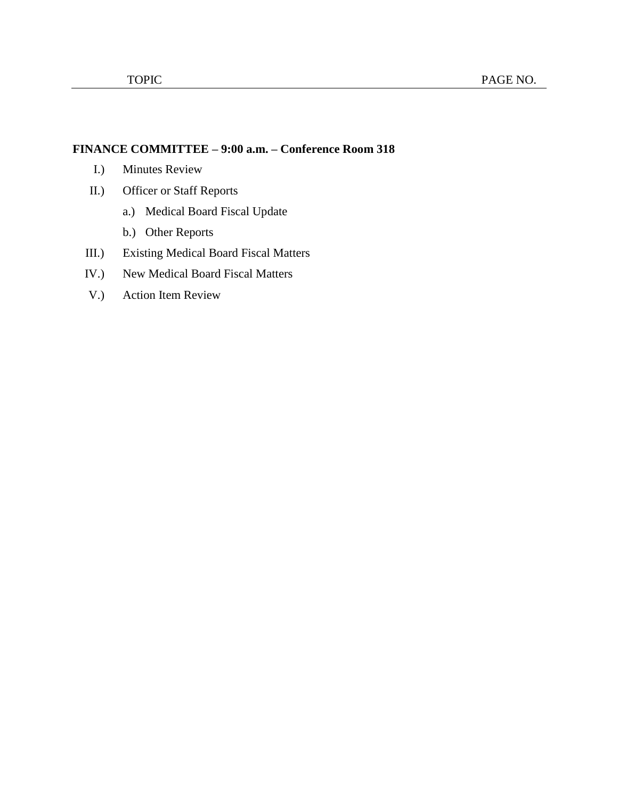# **FINANCE COMMITTEE – 9:00 a.m. – Conference Room 318**

- I.) Minutes Review
- II.) Officer or Staff Reports
	- a.) Medical Board Fiscal Update
	- b.) Other Reports
- III.) Existing Medical Board Fiscal Matters
- IV.) New Medical Board Fiscal Matters
- V.) Action Item Review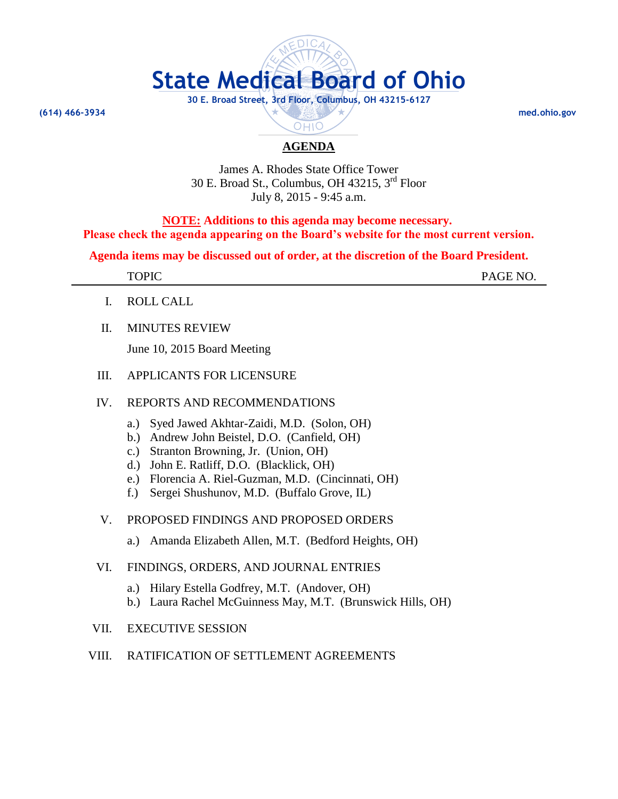

# **AGENDA**

OHIO

James A. Rhodes State Office Tower 30 E. Broad St., Columbus, OH 43215, 3 rd Floor July 8, 2015 - 9:45 a.m.

**NOTE: Additions to this agenda may become necessary. Please check the agenda appearing on the Board's website for the most current version.**

**Agenda items may be discussed out of order, at the discretion of the Board President.**

| <b>TOPIC</b><br>1 VI 10 | PAGFMO<br>$-\Delta$ .<br>11100110. |
|-------------------------|------------------------------------|
|                         |                                    |

- I. ROLL CALL
- II. MINUTES REVIEW

June 10, 2015 Board Meeting

# III. APPLICANTS FOR LICENSURE

# IV. REPORTS AND RECOMMENDATIONS

- a.) Syed Jawed Akhtar-Zaidi, M.D. (Solon, OH)
- b.) Andrew John Beistel, D.O. (Canfield, OH)
- c.) Stranton Browning, Jr. (Union, OH)
- d.) John E. Ratliff, D.O. (Blacklick, OH)
- e.) Florencia A. Riel-Guzman, M.D. (Cincinnati, OH)
- f.) Sergei Shushunov, M.D. (Buffalo Grove, IL)

# V. PROPOSED FINDINGS AND PROPOSED ORDERS

a.) Amanda Elizabeth Allen, M.T. (Bedford Heights, OH)

#### VI. FINDINGS, ORDERS, AND JOURNAL ENTRIES

- a.) Hilary Estella Godfrey, M.T. (Andover, OH)
- b.) Laura Rachel McGuinness May, M.T. (Brunswick Hills, OH)

# VII. EXECUTIVE SESSION

# VIII. RATIFICATION OF SETTLEMENT AGREEMENTS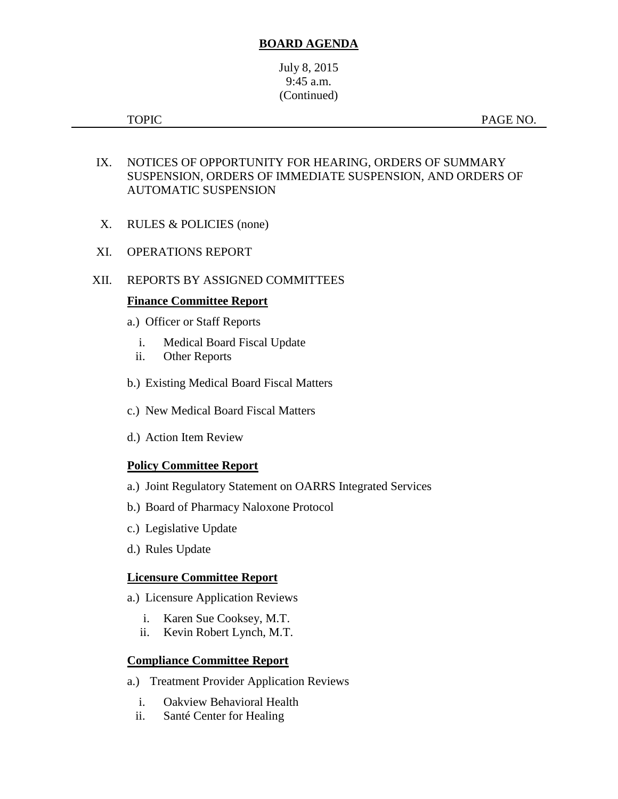# **BOARD AGENDA**

July 8, 2015 9:45 a.m. (Continued)

TOPIC PAGE NO.

- IX. NOTICES OF OPPORTUNITY FOR HEARING, ORDERS OF SUMMARY SUSPENSION, ORDERS OF IMMEDIATE SUSPENSION, AND ORDERS OF AUTOMATIC SUSPENSION
- X. RULES & POLICIES (none)
- XI. OPERATIONS REPORT
- XII. REPORTS BY ASSIGNED COMMITTEES

#### **Finance Committee Report**

- a.) Officer or Staff Reports
	- i. Medical Board Fiscal Update
	- ii. Other Reports
- b.) Existing Medical Board Fiscal Matters
- c.) New Medical Board Fiscal Matters
- d.) Action Item Review

# **Policy Committee Report**

- a.) Joint Regulatory Statement on OARRS Integrated Services
- b.) Board of Pharmacy Naloxone Protocol
- c.) Legislative Update
- d.) Rules Update

#### **Licensure Committee Report**

- a.) Licensure Application Reviews
	- i. Karen Sue Cooksey, M.T.
	- ii. Kevin Robert Lynch, M.T.

# **Compliance Committee Report**

- a.) Treatment Provider Application Reviews
	- i. Oakview Behavioral Health
	- ii. Santé Center for Healing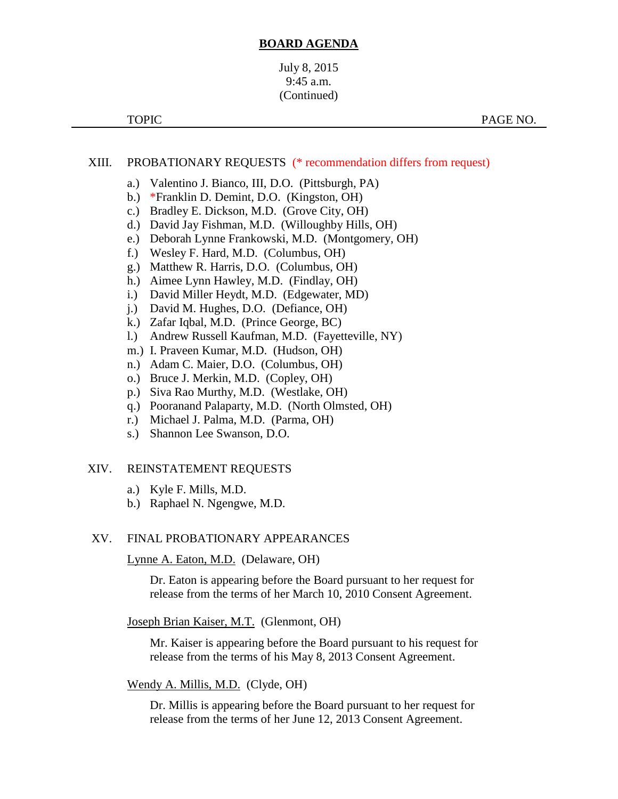#### **BOARD AGENDA**

# July 8, 2015 9:45 a.m. (Continued)

#### XIII. PROBATIONARY REQUESTS (\* recommendation differs from request)

- a.) Valentino J. Bianco, III, D.O. (Pittsburgh, PA)
- b.) \*Franklin D. Demint, D.O. (Kingston, OH)
- c.) Bradley E. Dickson, M.D. (Grove City, OH)
- d.) David Jay Fishman, M.D. (Willoughby Hills, OH)
- e.) Deborah Lynne Frankowski, M.D. (Montgomery, OH)
- f.) Wesley F. Hard, M.D. (Columbus, OH)
- g.) Matthew R. Harris, D.O. (Columbus, OH)
- h.) Aimee Lynn Hawley, M.D. (Findlay, OH)
- i.) David Miller Heydt, M.D. (Edgewater, MD)
- j.) David M. Hughes, D.O. (Defiance, OH)
- k.) Zafar Iqbal, M.D. (Prince George, BC)
- l.) Andrew Russell Kaufman, M.D. (Fayetteville, NY)
- m.) I. Praveen Kumar, M.D. (Hudson, OH)
- n.) Adam C. Maier, D.O. (Columbus, OH)
- o.) Bruce J. Merkin, M.D. (Copley, OH)
- p.) Siva Rao Murthy, M.D. (Westlake, OH)
- q.) Pooranand Palaparty, M.D. (North Olmsted, OH)
- r.) Michael J. Palma, M.D. (Parma, OH)
- s.) Shannon Lee Swanson, D.O.

#### XIV. REINSTATEMENT REQUESTS

- a.) Kyle F. Mills, M.D.
- b.) Raphael N. Ngengwe, M.D.

#### XV. FINAL PROBATIONARY APPEARANCES

Lynne A. Eaton, M.D. (Delaware, OH)

Dr. Eaton is appearing before the Board pursuant to her request for release from the terms of her March 10, 2010 Consent Agreement.

#### Joseph Brian Kaiser, M.T. (Glenmont, OH)

Mr. Kaiser is appearing before the Board pursuant to his request for release from the terms of his May 8, 2013 Consent Agreement.

#### Wendy A. Millis, M.D. (Clyde, OH)

Dr. Millis is appearing before the Board pursuant to her request for release from the terms of her June 12, 2013 Consent Agreement.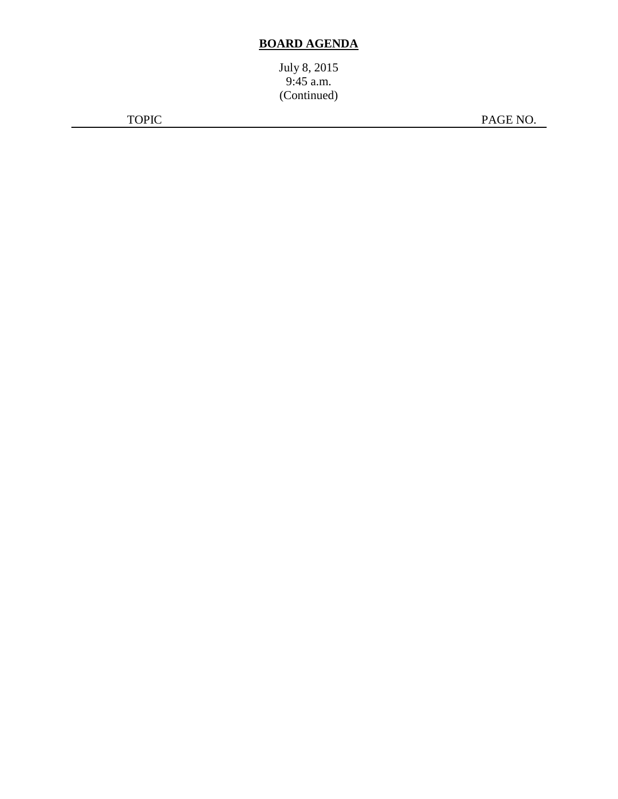# **BOARD AGENDA**

July 8, 2015 9:45 a.m. (Continued)

TOPIC PAGE NO.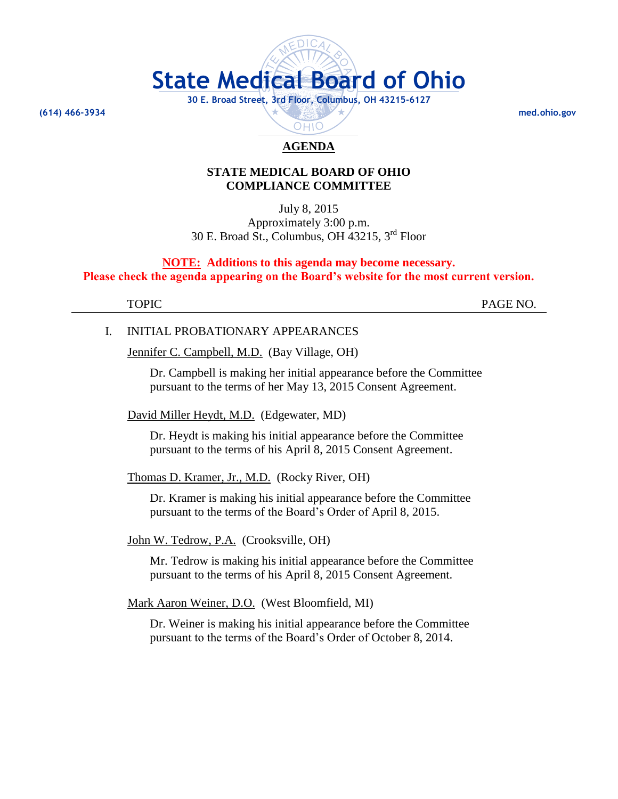

# **AGENDA**

#### **STATE MEDICAL BOARD OF OHIO COMPLIANCE COMMITTEE**

July 8, 2015 Approximately 3:00 p.m. 30 E. Broad St., Columbus, OH 43215, 3 rd Floor

**NOTE: Additions to this agenda may become necessary. Please check the agenda appearing on the Board's website for the most current version.**

TOPIC PAGE NO.

#### I. INITIAL PROBATIONARY APPEARANCES

Jennifer C. Campbell, M.D. (Bay Village, OH)

Dr. Campbell is making her initial appearance before the Committee pursuant to the terms of her May 13, 2015 Consent Agreement.

David Miller Heydt, M.D. (Edgewater, MD)

Dr. Heydt is making his initial appearance before the Committee pursuant to the terms of his April 8, 2015 Consent Agreement.

Thomas D. Kramer, Jr., M.D. (Rocky River, OH)

Dr. Kramer is making his initial appearance before the Committee pursuant to the terms of the Board's Order of April 8, 2015.

#### John W. Tedrow, P.A. (Crooksville, OH)

Mr. Tedrow is making his initial appearance before the Committee pursuant to the terms of his April 8, 2015 Consent Agreement.

Mark Aaron Weiner, D.O. (West Bloomfield, MI)

Dr. Weiner is making his initial appearance before the Committee pursuant to the terms of the Board's Order of October 8, 2014.